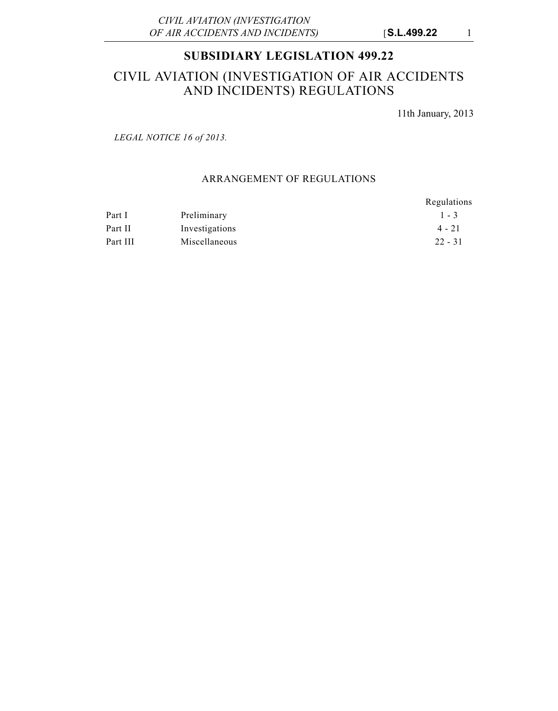## **SUBSIDIARY LEGISLATION 499.22**

# CIVIL AVIATION (INVESTIGATION OF AIR ACCIDENTS AND INCIDENTS) REGULATIONS

11th January, 2013

*LEGAL NOTICE 16 of 2013.*

### ARRANGEMENT OF REGULATIONS

|          |                | Regulations |
|----------|----------------|-------------|
| Part I   | Preliminary    | $1 - 3$     |
| Part II  | Investigations | $4 - 21$    |
| Part III | Miscellaneous  | $22 - 31$   |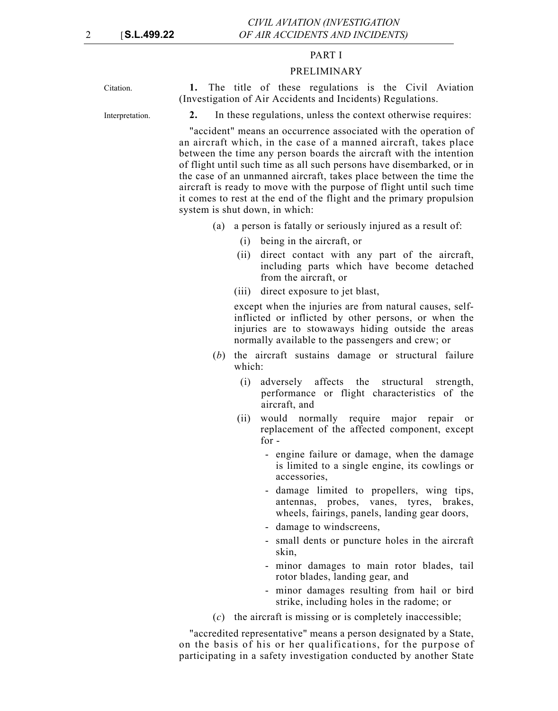#### PART I

#### PRELIMINARY

Citation. **1.** The title of these regulations is the Civil Aviation (Investigation of Air Accidents and Incidents) Regulations.

Interpretation. **2.** In these regulations, unless the context otherwise requires:

"accident" means an occurrence associated with the operation of an aircraft which, in the case of a manned aircraft, takes place between the time any person boards the aircraft with the intention of flight until such time as all such persons have disembarked, or in the case of an unmanned aircraft, takes place between the time the aircraft is ready to move with the purpose of flight until such time it comes to rest at the end of the flight and the primary propulsion system is shut down, in which:

- (a) a person is fatally or seriously injured as a result of:
	- (i) being in the aircraft, or
	- (ii) direct contact with any part of the aircraft, including parts which have become detached from the aircraft, or
	- (iii) direct exposure to jet blast,

except when the injuries are from natural causes, selfinflicted or inflicted by other persons, or when the injuries are to stowaways hiding outside the areas normally available to the passengers and crew; or

- (*b*) the aircraft sustains damage or structural failure which:
	- (i) adversely affects the structural strength, performance or flight characteristics of the aircraft, and
	- (ii) would normally require major repair or replacement of the affected component, except for -
		- engine failure or damage, when the damage is limited to a single engine, its cowlings or accessories,
		- damage limited to propellers, wing tips, antennas, probes, vanes, tyres, brakes, wheels, fairings, panels, landing gear doors,
		- damage to windscreens,
		- small dents or puncture holes in the aircraft skin,
		- minor damages to main rotor blades, tail rotor blades, landing gear, and
		- minor damages resulting from hail or bird strike, including holes in the radome; or
- (*c*) the aircraft is missing or is completely inaccessible;

"accredited representative" means a person designated by a State, on the basis of his or her qualifications, for the purpose of participating in a safety investigation conducted by another State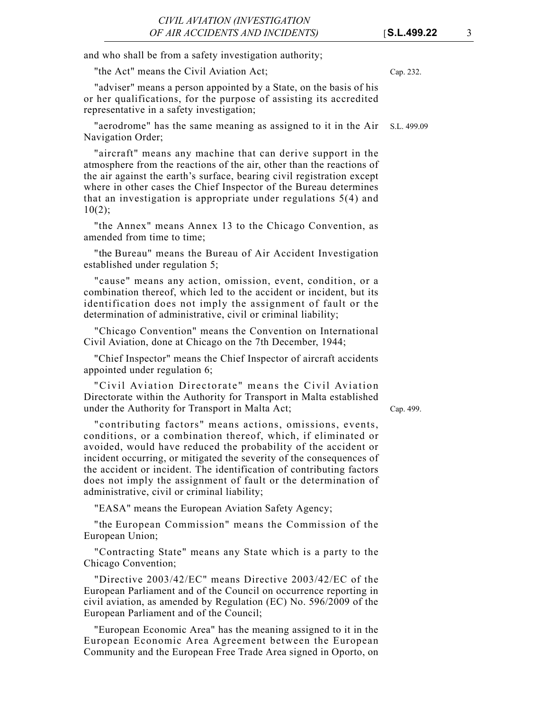and who shall be from a safety investigation authority;

"the Act" means the Civil Aviation Act; Cap. 232.

"adviser" means a person appointed by a State, on the basis of his or her qualifications, for the purpose of assisting its accredited representative in a safety investigation;

"aerodrome" has the same meaning as assigned to it in the Air S.L. 499.09 Navigation Order;

"aircraft" means any machine that can derive support in the atmosphere from the reactions of the air, other than the reactions of the air against the earth's surface, bearing civil registration except where in other cases the Chief Inspector of the Bureau determines that an investigation is appropriate under regulations 5(4) and  $10(2)$ :

"the Annex" means Annex 13 to the Chicago Convention, as amended from time to time;

"the Bureau" means the Bureau of Air Accident Investigation established under regulation 5;

"cause" means any action, omission, event, condition, or a combination thereof, which led to the accident or incident, but its identification does not imply the assignment of fault or the determination of administrative, civil or criminal liability;

"Chicago Convention" means the Convention on International Civil Aviation, done at Chicago on the 7th December, 1944;

"Chief Inspector" means the Chief Inspector of aircraft accidents appointed under regulation 6;

"Civil Aviation Directorate" means the Civil Aviation Directorate within the Authority for Transport in Malta established under the Authority for Transport in Malta Act;

Cap. 499.

"contributing factors" means actions, omissions, events, conditions, or a combination thereof, which, if eliminated or avoided, would have reduced the probability of the accident or incident occurring, or mitigated the severity of the consequences of the accident or incident. The identification of contributing factors does not imply the assignment of fault or the determination of administrative, civil or criminal liability;

"EASA" means the European Aviation Safety Agency;

"the European Commission" means the Commission of the European Union;

"Contracting State" means any State which is a party to the Chicago Convention;

"Directive 2003/42/EC" means Directive 2003/42/EC of the European Parliament and of the Council on occurrence reporting in civil aviation, as amended by Regulation (EC) No. 596/2009 of the European Parliament and of the Council;

"European Economic Area" has the meaning assigned to it in the European Economic Area Agreement between the European Community and the European Free Trade Area signed in Oporto, on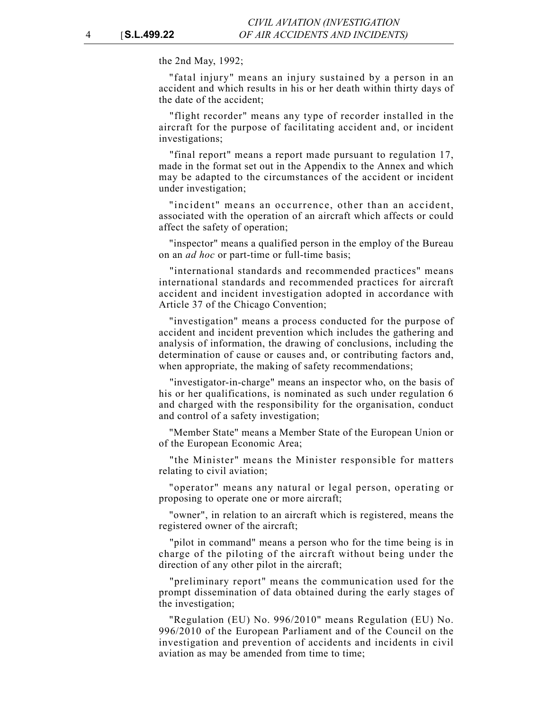the 2nd May, 1992;

"fatal injury" means an injury sustained by a person in an accident and which results in his or her death within thirty days of the date of the accident;

"flight recorder" means any type of recorder installed in the aircraft for the purpose of facilitating accident and, or incident investigations;

"final report" means a report made pursuant to regulation 17, made in the format set out in the Appendix to the Annex and which may be adapted to the circumstances of the accident or incident under investigation;

"incident" means an occurrence, other than an accident, associated with the operation of an aircraft which affects or could affect the safety of operation;

"inspector" means a qualified person in the employ of the Bureau on an *ad hoc* or part-time or full-time basis;

"international standards and recommended practices" means international standards and recommended practices for aircraft accident and incident investigation adopted in accordance with Article 37 of the Chicago Convention;

"investigation" means a process conducted for the purpose of accident and incident prevention which includes the gathering and analysis of information, the drawing of conclusions, including the determination of cause or causes and, or contributing factors and, when appropriate, the making of safety recommendations;

"investigator-in-charge" means an inspector who, on the basis of his or her qualifications, is nominated as such under regulation 6 and charged with the responsibility for the organisation, conduct and control of a safety investigation;

"Member State" means a Member State of the European Union or of the European Economic Area;

"the Minister" means the Minister responsible for matters relating to civil aviation;

"operator" means any natural or legal person, operating or proposing to operate one or more aircraft;

"owner", in relation to an aircraft which is registered, means the registered owner of the aircraft;

"pilot in command" means a person who for the time being is in charge of the piloting of the aircraft without being under the direction of any other pilot in the aircraft;

"preliminary report" means the communication used for the prompt dissemination of data obtained during the early stages of the investigation;

"Regulation (EU) No. 996/2010" means Regulation (EU) No. 996/2010 of the European Parliament and of the Council on the investigation and prevention of accidents and incidents in civil aviation as may be amended from time to time;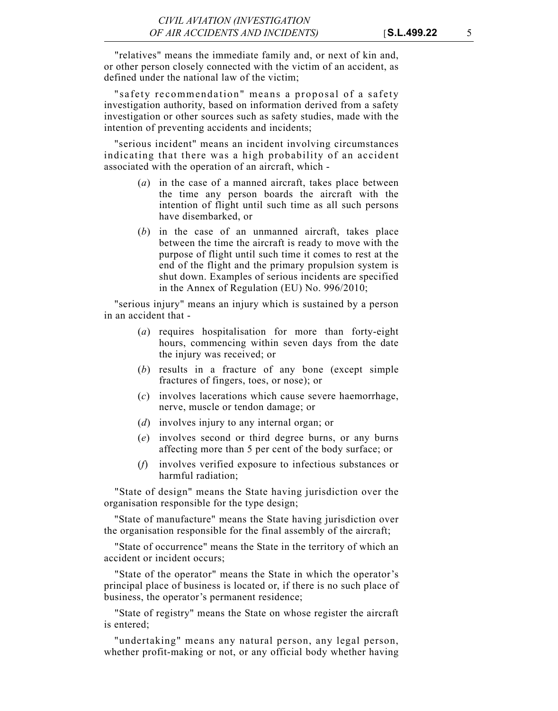"relatives" means the immediate family and, or next of kin and, or other person closely connected with the victim of an accident, as defined under the national law of the victim;

"safety recommendation" means a proposal of a safety investigation authority, based on information derived from a safety investigation or other sources such as safety studies, made with the intention of preventing accidents and incidents;

"serious incident" means an incident involving circumstances indicating that there was a high probability of an accident associated with the operation of an aircraft, which -

- (*a*) in the case of a manned aircraft, takes place between the time any person boards the aircraft with the intention of flight until such time as all such persons have disembarked, or
- (*b*) in the case of an unmanned aircraft, takes place between the time the aircraft is ready to move with the purpose of flight until such time it comes to rest at the end of the flight and the primary propulsion system is shut down. Examples of serious incidents are specified in the Annex of Regulation (EU) No. 996/2010;

"serious injury" means an injury which is sustained by a person in an accident that -

- (*a*) requires hospitalisation for more than forty-eight hours, commencing within seven days from the date the injury was received; or
- (*b*) results in a fracture of any bone (except simple fractures of fingers, toes, or nose); or
- (*c*) involves lacerations which cause severe haemorrhage, nerve, muscle or tendon damage; or
- (*d*) involves injury to any internal organ; or
- (*e*) involves second or third degree burns, or any burns affecting more than 5 per cent of the body surface; or
- (*f*) involves verified exposure to infectious substances or harmful radiation;

"State of design" means the State having jurisdiction over the organisation responsible for the type design;

"State of manufacture" means the State having jurisdiction over the organisation responsible for the final assembly of the aircraft;

"State of occurrence" means the State in the territory of which an accident or incident occurs;

"State of the operator" means the State in which the operator's principal place of business is located or, if there is no such place of business, the operator's permanent residence;

"State of registry" means the State on whose register the aircraft is entered;

"undertaking" means any natural person, any legal person, whether profit-making or not, or any official body whether having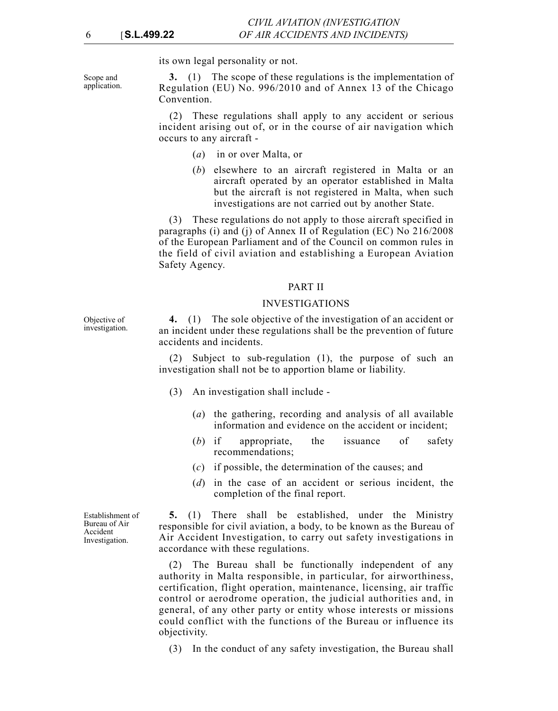its own legal personality or not.

Scope and application.

Objective of investigation.

**3.** (1) The scope of these regulations is the implementation of Regulation (EU) No. 996/2010 and of Annex 13 of the Chicago Convention.

(2) These regulations shall apply to any accident or serious incident arising out of, or in the course of air navigation which occurs to any aircraft -

- (*a*) in or over Malta, or
- (*b*) elsewhere to an aircraft registered in Malta or an aircraft operated by an operator established in Malta but the aircraft is not registered in Malta, when such investigations are not carried out by another State.

(3) These regulations do not apply to those aircraft specified in paragraphs (i) and (j) of Annex II of Regulation (EC) No 216/2008 of the European Parliament and of the Council on common rules in the field of civil aviation and establishing a European Aviation Safety Agency.

#### PART II

#### INVESTIGATIONS

**4.** (1) The sole objective of the investigation of an accident or an incident under these regulations shall be the prevention of future accidents and incidents.

(2) Subject to sub-regulation (1), the purpose of such an investigation shall not be to apportion blame or liability.

- (3) An investigation shall include
	- (*a*) the gathering, recording and analysis of all available information and evidence on the accident or incident;
	- (*b*) if appropriate, the issuance of safety recommendations;
	- (*c*) if possible, the determination of the causes; and
	- (*d*) in the case of an accident or serious incident, the completion of the final report.

**5.** (1) There shall be established, under the Ministry responsible for civil aviation, a body, to be known as the Bureau of Air Accident Investigation, to carry out safety investigations in accordance with these regulations.

(2) The Bureau shall be functionally independent of any authority in Malta responsible, in particular, for airworthiness, certification, flight operation, maintenance, licensing, air traffic control or aerodrome operation, the judicial authorities and, in general, of any other party or entity whose interests or missions could conflict with the functions of the Bureau or influence its objectivity.

(3) In the conduct of any safety investigation, the Bureau shall

Establishment of Bureau of Air Accident Investigation.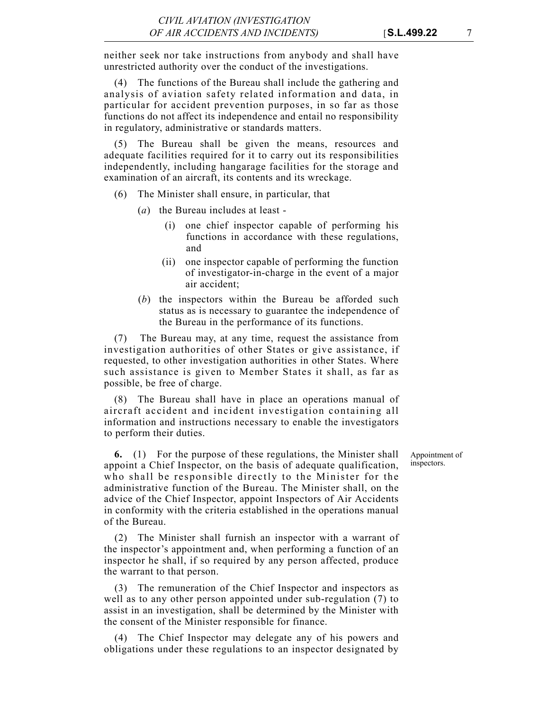neither seek nor take instructions from anybody and shall have unrestricted authority over the conduct of the investigations.

(4) The functions of the Bureau shall include the gathering and analysis of aviation safety related information and data, in particular for accident prevention purposes, in so far as those functions do not affect its independence and entail no responsibility in regulatory, administrative or standards matters.

(5) The Bureau shall be given the means, resources and adequate facilities required for it to carry out its responsibilities independently, including hangarage facilities for the storage and examination of an aircraft, its contents and its wreckage.

- (6) The Minister shall ensure, in particular, that
	- (*a*) the Bureau includes at least
		- (i) one chief inspector capable of performing his functions in accordance with these regulations, and
		- (ii) one inspector capable of performing the function of investigator-in-charge in the event of a major air accident;
	- (*b*) the inspectors within the Bureau be afforded such status as is necessary to guarantee the independence of the Bureau in the performance of its functions.

(7) The Bureau may, at any time, request the assistance from investigation authorities of other States or give assistance, if requested, to other investigation authorities in other States. Where such assistance is given to Member States it shall, as far as possible, be free of charge.

(8) The Bureau shall have in place an operations manual of aircraft accident and incident investigation containing all information and instructions necessary to enable the investigators to perform their duties.

**6.** (1) For the purpose of these regulations, the Minister shall appoint a Chief Inspector, on the basis of adequate qualification, who shall be responsible directly to the Minister for the administrative function of the Bureau. The Minister shall, on the advice of the Chief Inspector, appoint Inspectors of Air Accidents in conformity with the criteria established in the operations manual of the Bureau.

(2) The Minister shall furnish an inspector with a warrant of the inspector's appointment and, when performing a function of an inspector he shall, if so required by any person affected, produce the warrant to that person.

(3) The remuneration of the Chief Inspector and inspectors as well as to any other person appointed under sub-regulation (7) to assist in an investigation, shall be determined by the Minister with the consent of the Minister responsible for finance.

(4) The Chief Inspector may delegate any of his powers and obligations under these regulations to an inspector designated by

Appointment of inspectors.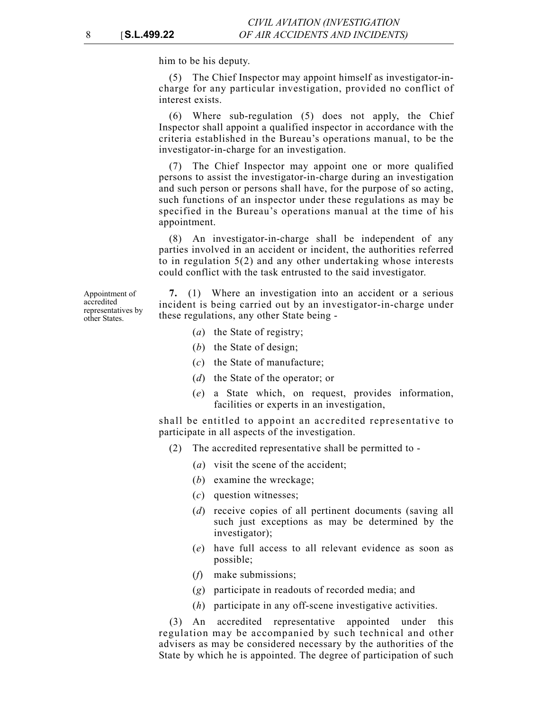him to be his deputy.

(5) The Chief Inspector may appoint himself as investigator-incharge for any particular investigation, provided no conflict of interest exists.

(6) Where sub-regulation (5) does not apply, the Chief Inspector shall appoint a qualified inspector in accordance with the criteria established in the Bureau's operations manual, to be the investigator-in-charge for an investigation.

(7) The Chief Inspector may appoint one or more qualified persons to assist the investigator-in-charge during an investigation and such person or persons shall have, for the purpose of so acting, such functions of an inspector under these regulations as may be specified in the Bureau's operations manual at the time of his appointment.

(8) An investigator-in-charge shall be independent of any parties involved in an accident or incident, the authorities referred to in regulation 5(2) and any other undertaking whose interests could conflict with the task entrusted to the said investigator.

Appointment of accredited representatives by other States.

**7.** (1) Where an investigation into an accident or a serious incident is being carried out by an investigator-in-charge under these regulations, any other State being -

- (*a*) the State of registry;
- (*b*) the State of design;
- (*c*) the State of manufacture;
- (*d*) the State of the operator; or
- (*e*) a State which, on request, provides information, facilities or experts in an investigation,

shall be entitled to appoint an accredited representative to participate in all aspects of the investigation.

- (2) The accredited representative shall be permitted to
	- (*a*) visit the scene of the accident;
	- (*b*) examine the wreckage;
	- (*c*) question witnesses;
	- (*d*) receive copies of all pertinent documents (saving all such just exceptions as may be determined by the investigator);
	- (*e*) have full access to all relevant evidence as soon as possible;
	- (*f*) make submissions;
	- (*g*) participate in readouts of recorded media; and
	- (*h*) participate in any off-scene investigative activities.

An accredited representative appointed under this regulation may be accompanied by such technical and other advisers as may be considered necessary by the authorities of the State by which he is appointed. The degree of participation of such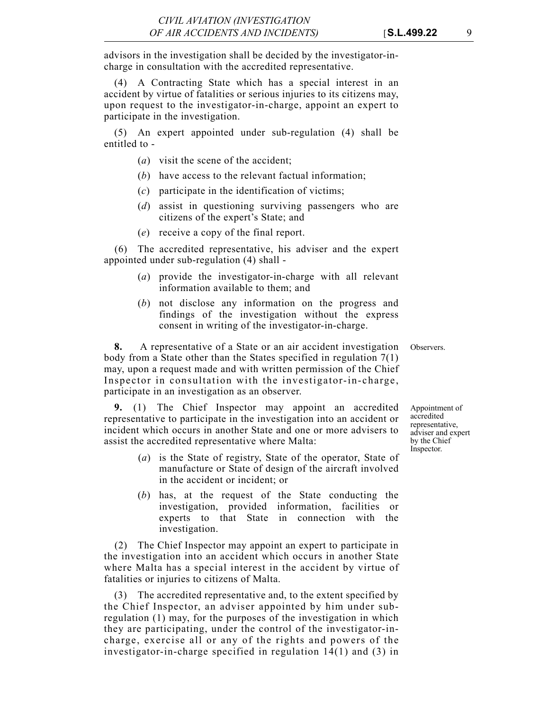advisors in the investigation shall be decided by the investigator-incharge in consultation with the accredited representative.

(4) A Contracting State which has a special interest in an accident by virtue of fatalities or serious injuries to its citizens may, upon request to the investigator-in-charge, appoint an expert to participate in the investigation.

(5) An expert appointed under sub-regulation (4) shall be entitled to -

- (*a*) visit the scene of the accident;
- (*b*) have access to the relevant factual information;
- (*c*) participate in the identification of victims;
- (*d*) assist in questioning surviving passengers who are citizens of the expert's State; and
- (*e*) receive a copy of the final report.

(6) The accredited representative, his adviser and the expert appointed under sub-regulation (4) shall -

- (*a*) provide the investigator-in-charge with all relevant information available to them; and
- (*b*) not disclose any information on the progress and findings of the investigation without the express consent in writing of the investigator-in-charge.

**8.** A representative of a State or an air accident investigation Observers. body from a State other than the States specified in regulation 7(1) may, upon a request made and with written permission of the Chief Inspector in consultation with the investigator-in-charge, participate in an investigation as an observer.

**9.** (1) The Chief Inspector may appoint an accredited representative to participate in the investigation into an accident or incident which occurs in another State and one or more advisers to assist the accredited representative where Malta:

- (*a*) is the State of registry, State of the operator, State of manufacture or State of design of the aircraft involved in the accident or incident; or
- (*b*) has, at the request of the State conducting the investigation, provided information, facilities or experts to that State in connection with the investigation.

(2) The Chief Inspector may appoint an expert to participate in the investigation into an accident which occurs in another State where Malta has a special interest in the accident by virtue of fatalities or injuries to citizens of Malta.

(3) The accredited representative and, to the extent specified by the Chief Inspector, an adviser appointed by him under subregulation (1) may, for the purposes of the investigation in which they are participating, under the control of the investigator-incharge, exercise all or any of the rights and powers of the investigator-in-charge specified in regulation 14(1) and (3) in Appointment of accredited representative, adviser and expert by the Chief Inspector.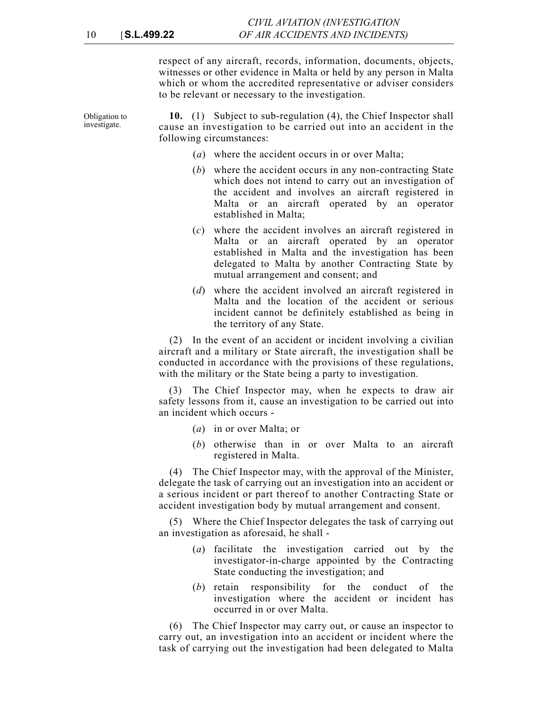respect of any aircraft, records, information, documents, objects, witnesses or other evidence in Malta or held by any person in Malta which or whom the accredited representative or adviser considers to be relevant or necessary to the investigation.

Obligation to investigate. **10.** (1) Subject to sub-regulation (4), the Chief Inspector shall cause an investigation to be carried out into an accident in the following circumstances:

- (*a*) where the accident occurs in or over Malta;
- (*b*) where the accident occurs in any non-contracting State which does not intend to carry out an investigation of the accident and involves an aircraft registered in Malta or an aircraft operated by an operator established in Malta;
- (*c*) where the accident involves an aircraft registered in Malta or an aircraft operated by an operator established in Malta and the investigation has been delegated to Malta by another Contracting State by mutual arrangement and consent; and
- (*d*) where the accident involved an aircraft registered in Malta and the location of the accident or serious incident cannot be definitely established as being in the territory of any State.

(2) In the event of an accident or incident involving a civilian aircraft and a military or State aircraft, the investigation shall be conducted in accordance with the provisions of these regulations, with the military or the State being a party to investigation.

(3) The Chief Inspector may, when he expects to draw air safety lessons from it, cause an investigation to be carried out into an incident which occurs -

- (*a*) in or over Malta; or
- (*b*) otherwise than in or over Malta to an aircraft registered in Malta.

(4) The Chief Inspector may, with the approval of the Minister, delegate the task of carrying out an investigation into an accident or a serious incident or part thereof to another Contracting State or accident investigation body by mutual arrangement and consent.

(5) Where the Chief Inspector delegates the task of carrying out an investigation as aforesaid, he shall -

- (*a*) facilitate the investigation carried out by the investigator-in-charge appointed by the Contracting State conducting the investigation; and
- (*b*) retain responsibility for the conduct of the investigation where the accident or incident has occurred in or over Malta.

(6) The Chief Inspector may carry out, or cause an inspector to carry out, an investigation into an accident or incident where the task of carrying out the investigation had been delegated to Malta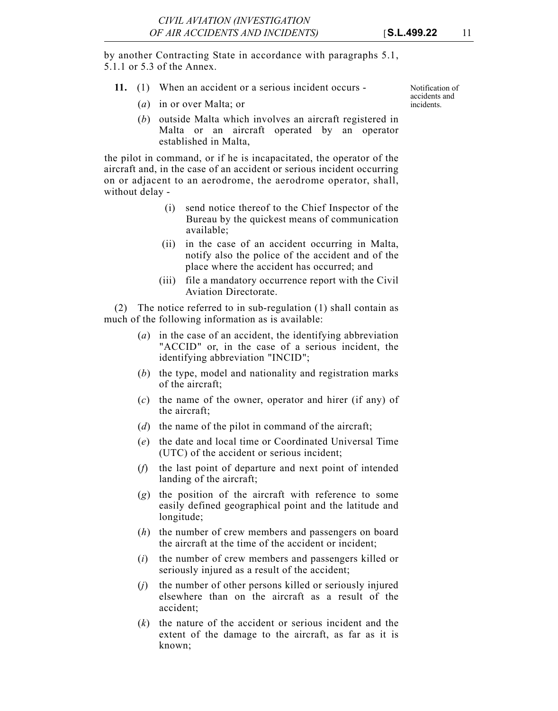by another Contracting State in accordance with paragraphs 5.1, 5.1.1 or 5.3 of the Annex.

- **11.** (1) When an accident or a serious incident occurs
	- (*a*) in or over Malta; or
	- (*b*) outside Malta which involves an aircraft registered in Malta or an aircraft operated by an operator established in Malta,

the pilot in command, or if he is incapacitated, the operator of the aircraft and, in the case of an accident or serious incident occurring on or adjacent to an aerodrome, the aerodrome operator, shall, without delay -

- (i) send notice thereof to the Chief Inspector of the Bureau by the quickest means of communication available;
- (ii) in the case of an accident occurring in Malta, notify also the police of the accident and of the place where the accident has occurred; and
- (iii) file a mandatory occurrence report with the Civil Aviation Directorate.

(2) The notice referred to in sub-regulation (1) shall contain as much of the following information as is available:

- (*a*) in the case of an accident, the identifying abbreviation "ACCID" or, in the case of a serious incident, the identifying abbreviation "INCID";
- (*b*) the type, model and nationality and registration marks of the aircraft;
- (*c*) the name of the owner, operator and hirer (if any) of the aircraft;
- (*d*) the name of the pilot in command of the aircraft;
- (*e*) the date and local time or Coordinated Universal Time (UTC) of the accident or serious incident;
- (*f*) the last point of departure and next point of intended landing of the aircraft;
- (*g*) the position of the aircraft with reference to some easily defined geographical point and the latitude and longitude;
- (*h*) the number of crew members and passengers on board the aircraft at the time of the accident or incident;
- (*i*) the number of crew members and passengers killed or seriously injured as a result of the accident;
- (*j*) the number of other persons killed or seriously injured elsewhere than on the aircraft as a result of the accident;
- (*k*) the nature of the accident or serious incident and the extent of the damage to the aircraft, as far as it is known;

Notification of accidents and incidents.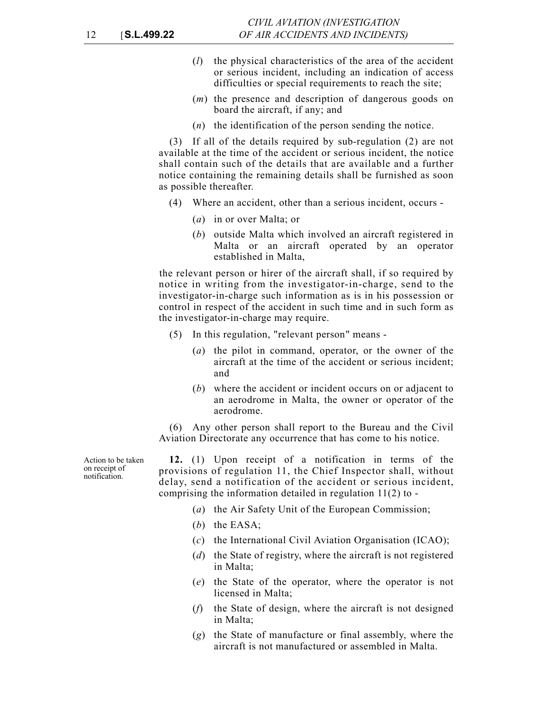- (*l*) the physical characteristics of the area of the accident or serious incident, including an indication of access difficulties or special requirements to reach the site;
- (*m*) the presence and description of dangerous goods on board the aircraft, if any; and
- (*n*) the identification of the person sending the notice.

(3) If all of the details required by sub-regulation (2) are not available at the time of the accident or serious incident, the notice shall contain such of the details that are available and a further notice containing the remaining details shall be furnished as soon as possible thereafter.

- (4) Where an accident, other than a serious incident, occurs
	- (*a*) in or over Malta; or
	- (*b*) outside Malta which involved an aircraft registered in Malta or an aircraft operated by an operator established in Malta,

the relevant person or hirer of the aircraft shall, if so required by notice in writing from the investigator-in-charge, send to the investigator-in-charge such information as is in his possession or control in respect of the accident in such time and in such form as the investigator-in-charge may require.

- (5) In this regulation, "relevant person" means
	- (*a*) the pilot in command, operator, or the owner of the aircraft at the time of the accident or serious incident; and
	- (*b*) where the accident or incident occurs on or adjacent to an aerodrome in Malta, the owner or operator of the aerodrome.

(6) Any other person shall report to the Bureau and the Civil Aviation Directorate any occurrence that has come to his notice.

Action to be taken on receipt of notification.

**12.** (1) Upon receipt of a notification in terms of the provisions of regulation 11, the Chief Inspector shall, without delay, send a notification of the accident or serious incident, comprising the information detailed in regulation 11(2) to -

- (*a*) the Air Safety Unit of the European Commission;
- (*b*) the EASA;
- (*c*) the International Civil Aviation Organisation (ICAO);
- (*d*) the State of registry, where the aircraft is not registered in Malta;
- (*e*) the State of the operator, where the operator is not licensed in Malta;
- (*f*) the State of design, where the aircraft is not designed in Malta;
- (*g*) the State of manufacture or final assembly, where the aircraft is not manufactured or assembled in Malta.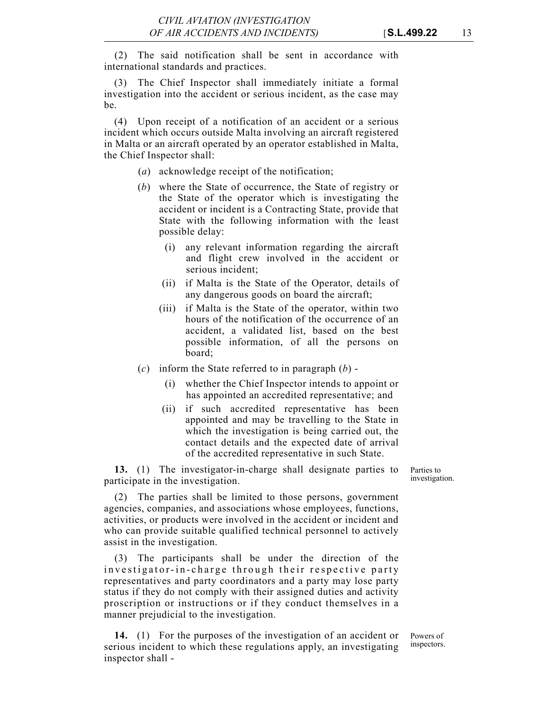(2) The said notification shall be sent in accordance with international standards and practices.

(3) The Chief Inspector shall immediately initiate a formal investigation into the accident or serious incident, as the case may be.

(4) Upon receipt of a notification of an accident or a serious incident which occurs outside Malta involving an aircraft registered in Malta or an aircraft operated by an operator established in Malta, the Chief Inspector shall:

- (*a*) acknowledge receipt of the notification;
- (*b*) where the State of occurrence, the State of registry or the State of the operator which is investigating the accident or incident is a Contracting State, provide that State with the following information with the least possible delay:
	- (i) any relevant information regarding the aircraft and flight crew involved in the accident or serious incident;
	- (ii) if Malta is the State of the Operator, details of any dangerous goods on board the aircraft;
	- (iii) if Malta is the State of the operator, within two hours of the notification of the occurrence of an accident, a validated list, based on the best possible information, of all the persons on board;
- (*c*) inform the State referred to in paragraph (*b*)
	- (i) whether the Chief Inspector intends to appoint or has appointed an accredited representative; and
	- (ii) if such accredited representative has been appointed and may be travelling to the State in which the investigation is being carried out, the contact details and the expected date of arrival of the accredited representative in such State.

**13.** (1) The investigator-in-charge shall designate parties to participate in the investigation.

Parties to investigation.

(2) The parties shall be limited to those persons, government agencies, companies, and associations whose employees, functions, activities, or products were involved in the accident or incident and who can provide suitable qualified technical personnel to actively assist in the investigation.

(3) The participants shall be under the direction of the investigator-in-charge through their respective party representatives and party coordinators and a party may lose party status if they do not comply with their assigned duties and activity proscription or instructions or if they conduct themselves in a manner prejudicial to the investigation.

**14.** (1) For the purposes of the investigation of an accident or serious incident to which these regulations apply, an investigating inspector shall -

Powers of inspectors.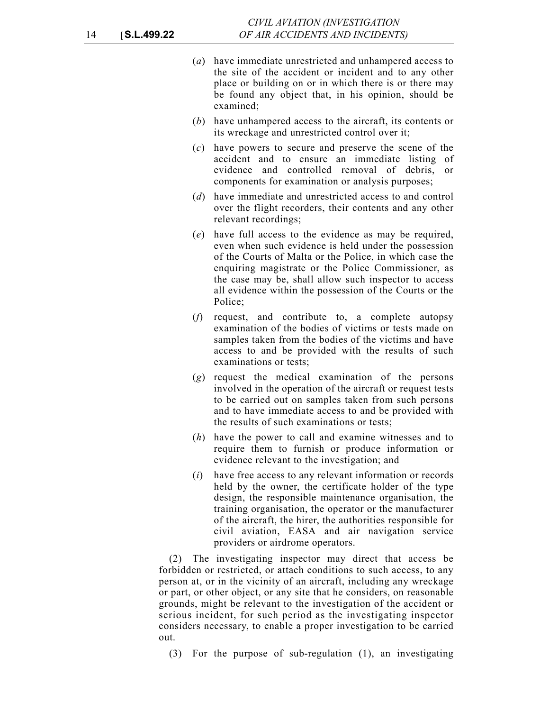- (*a*) have immediate unrestricted and unhampered access to the site of the accident or incident and to any other place or building on or in which there is or there may be found any object that, in his opinion, should be examined;
- (*b*) have unhampered access to the aircraft, its contents or its wreckage and unrestricted control over it;
- (*c*) have powers to secure and preserve the scene of the accident and to ensure an immediate listing of evidence and controlled removal of debris, or components for examination or analysis purposes;
- (*d*) have immediate and unrestricted access to and control over the flight recorders, their contents and any other relevant recordings;
- (*e*) have full access to the evidence as may be required, even when such evidence is held under the possession of the Courts of Malta or the Police, in which case the enquiring magistrate or the Police Commissioner, as the case may be, shall allow such inspector to access all evidence within the possession of the Courts or the Police;
- (*f*) request, and contribute to, a complete autopsy examination of the bodies of victims or tests made on samples taken from the bodies of the victims and have access to and be provided with the results of such examinations or tests;
- (*g*) request the medical examination of the persons involved in the operation of the aircraft or request tests to be carried out on samples taken from such persons and to have immediate access to and be provided with the results of such examinations or tests;
- (*h*) have the power to call and examine witnesses and to require them to furnish or produce information or evidence relevant to the investigation; and
- (*i*) have free access to any relevant information or records held by the owner, the certificate holder of the type design, the responsible maintenance organisation, the training organisation, the operator or the manufacturer of the aircraft, the hirer, the authorities responsible for civil aviation, EASA and air navigation service providers or airdrome operators.

(2) The investigating inspector may direct that access be forbidden or restricted, or attach conditions to such access, to any person at, or in the vicinity of an aircraft, including any wreckage or part, or other object, or any site that he considers, on reasonable grounds, might be relevant to the investigation of the accident or serious incident, for such period as the investigating inspector considers necessary, to enable a proper investigation to be carried out.

(3) For the purpose of sub-regulation (1), an investigating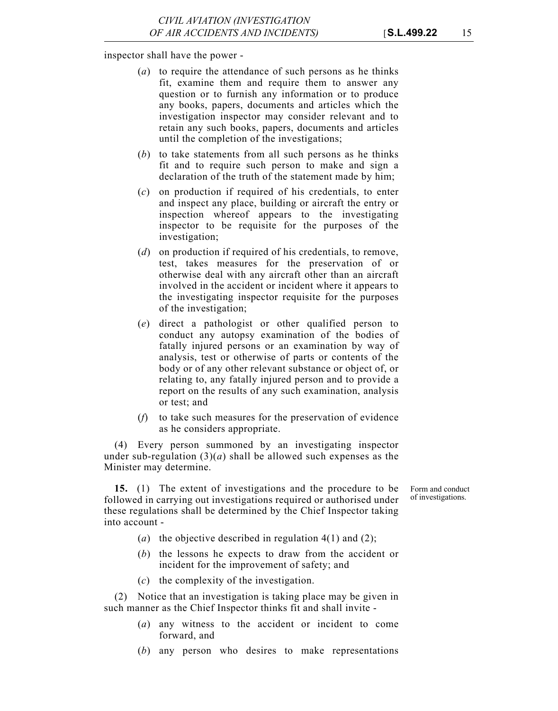inspector shall have the power -

- (*a*) to require the attendance of such persons as he thinks fit, examine them and require them to answer any question or to furnish any information or to produce any books, papers, documents and articles which the investigation inspector may consider relevant and to retain any such books, papers, documents and articles until the completion of the investigations;
- (*b*) to take statements from all such persons as he thinks fit and to require such person to make and sign a declaration of the truth of the statement made by him;
- (*c*) on production if required of his credentials, to enter and inspect any place, building or aircraft the entry or inspection whereof appears to the investigating inspector to be requisite for the purposes of the investigation;
- (*d*) on production if required of his credentials, to remove, test, takes measures for the preservation of or otherwise deal with any aircraft other than an aircraft involved in the accident or incident where it appears to the investigating inspector requisite for the purposes of the investigation;
- (*e*) direct a pathologist or other qualified person to conduct any autopsy examination of the bodies of fatally injured persons or an examination by way of analysis, test or otherwise of parts or contents of the body or of any other relevant substance or object of, or relating to, any fatally injured person and to provide a report on the results of any such examination, analysis or test; and
- (*f*) to take such measures for the preservation of evidence as he considers appropriate.

(4) Every person summoned by an investigating inspector under sub-regulation  $(3)(a)$  shall be allowed such expenses as the Minister may determine.

**15.** (1) The extent of investigations and the procedure to be followed in carrying out investigations required or authorised under these regulations shall be determined by the Chief Inspector taking into account -

Form and conduct of investigations.

- (*a*) the objective described in regulation 4(1) and (2);
- (*b*) the lessons he expects to draw from the accident or incident for the improvement of safety; and
- (*c*) the complexity of the investigation.

(2) Notice that an investigation is taking place may be given in such manner as the Chief Inspector thinks fit and shall invite -

- (*a*) any witness to the accident or incident to come forward, and
- (*b*) any person who desires to make representations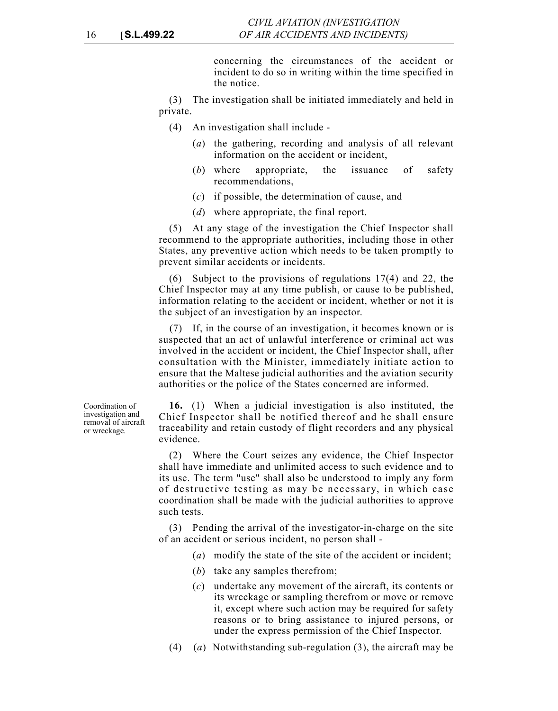concerning the circumstances of the accident or incident to do so in writing within the time specified in the notice.

(3) The investigation shall be initiated immediately and held in private.

- (4) An investigation shall include
	- (*a*) the gathering, recording and analysis of all relevant information on the accident or incident,
	- (*b*) where appropriate, the issuance of safety recommendations,
	- (*c*) if possible, the determination of cause, and
	- (*d*) where appropriate, the final report.

(5) At any stage of the investigation the Chief Inspector shall recommend to the appropriate authorities, including those in other States, any preventive action which needs to be taken promptly to prevent similar accidents or incidents.

(6) Subject to the provisions of regulations 17(4) and 22, the Chief Inspector may at any time publish, or cause to be published, information relating to the accident or incident, whether or not it is the subject of an investigation by an inspector.

(7) If, in the course of an investigation, it becomes known or is suspected that an act of unlawful interference or criminal act was involved in the accident or incident, the Chief Inspector shall, after consultation with the Minister, immediately initiate action to ensure that the Maltese judicial authorities and the aviation security authorities or the police of the States concerned are informed.

**16.** (1) When a judicial investigation is also instituted, the Chief Inspector shall be notified thereof and he shall ensure traceability and retain custody of flight recorders and any physical evidence.

(2) Where the Court seizes any evidence, the Chief Inspector shall have immediate and unlimited access to such evidence and to its use. The term "use" shall also be understood to imply any form of destructive testing as may be necessary, in which case coordination shall be made with the judicial authorities to approve such tests.

(3) Pending the arrival of the investigator-in-charge on the site of an accident or serious incident, no person shall -

- (*a*) modify the state of the site of the accident or incident;
- (*b*) take any samples therefrom;
- (*c*) undertake any movement of the aircraft, its contents or its wreckage or sampling therefrom or move or remove it, except where such action may be required for safety reasons or to bring assistance to injured persons, or under the express permission of the Chief Inspector.
- (4) (*a*) Notwithstanding sub-regulation (3), the aircraft may be

Coordination of investigation and removal of aircraft or wreckage.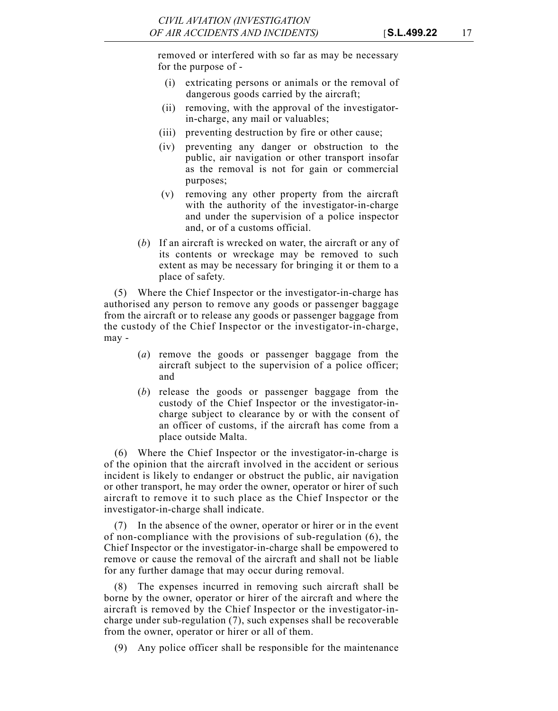removed or interfered with so far as may be necessary for the purpose of -

- (i) extricating persons or animals or the removal of dangerous goods carried by the aircraft;
- (ii) removing, with the approval of the investigatorin-charge, any mail or valuables;
- (iii) preventing destruction by fire or other cause;
- (iv) preventing any danger or obstruction to the public, air navigation or other transport insofar as the removal is not for gain or commercial purposes;
- (v) removing any other property from the aircraft with the authority of the investigator-in-charge and under the supervision of a police inspector and, or of a customs official.
- (*b*) If an aircraft is wrecked on water, the aircraft or any of its contents or wreckage may be removed to such extent as may be necessary for bringing it or them to a place of safety.

(5) Where the Chief Inspector or the investigator-in-charge has authorised any person to remove any goods or passenger baggage from the aircraft or to release any goods or passenger baggage from the custody of the Chief Inspector or the investigator-in-charge, may -

- (*a*) remove the goods or passenger baggage from the aircraft subject to the supervision of a police officer; and
- (*b*) release the goods or passenger baggage from the custody of the Chief Inspector or the investigator-incharge subject to clearance by or with the consent of an officer of customs, if the aircraft has come from a place outside Malta.

(6) Where the Chief Inspector or the investigator-in-charge is of the opinion that the aircraft involved in the accident or serious incident is likely to endanger or obstruct the public, air navigation or other transport, he may order the owner, operator or hirer of such aircraft to remove it to such place as the Chief Inspector or the investigator-in-charge shall indicate.

(7) In the absence of the owner, operator or hirer or in the event of non-compliance with the provisions of sub-regulation (6), the Chief Inspector or the investigator-in-charge shall be empowered to remove or cause the removal of the aircraft and shall not be liable for any further damage that may occur during removal.

(8) The expenses incurred in removing such aircraft shall be borne by the owner, operator or hirer of the aircraft and where the aircraft is removed by the Chief Inspector or the investigator-incharge under sub-regulation (7), such expenses shall be recoverable from the owner, operator or hirer or all of them.

(9) Any police officer shall be responsible for the maintenance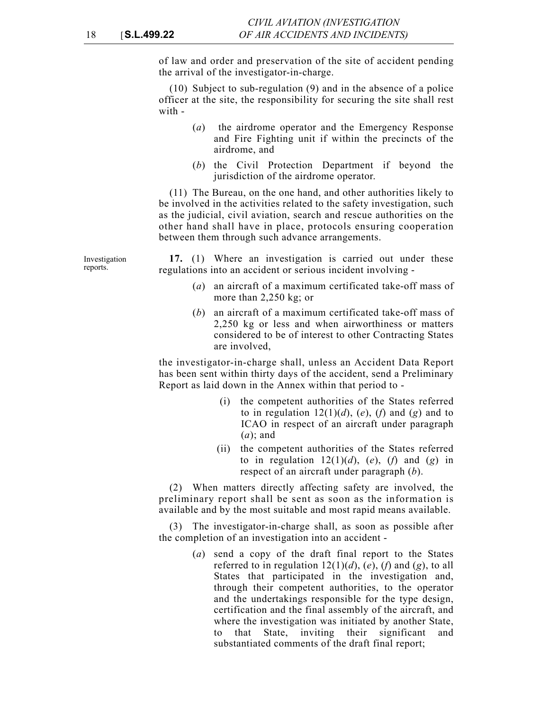of law and order and preservation of the site of accident pending the arrival of the investigator-in-charge.

(10) Subject to sub-regulation (9) and in the absence of a police officer at the site, the responsibility for securing the site shall rest with -

- (*a*) the airdrome operator and the Emergency Response and Fire Fighting unit if within the precincts of the airdrome, and
- (*b*) the Civil Protection Department if beyond the jurisdiction of the airdrome operator.

(11) The Bureau, on the one hand, and other authorities likely to be involved in the activities related to the safety investigation, such as the judicial, civil aviation, search and rescue authorities on the other hand shall have in place, protocols ensuring cooperation between them through such advance arrangements.

**17.** (1) Where an investigation is carried out under these regulations into an accident or serious incident involving -

- (*a*) an aircraft of a maximum certificated take-off mass of more than 2,250 kg; or
- (*b*) an aircraft of a maximum certificated take-off mass of 2,250 kg or less and when airworthiness or matters considered to be of interest to other Contracting States are involved,

the investigator-in-charge shall, unless an Accident Data Report has been sent within thirty days of the accident, send a Preliminary Report as laid down in the Annex within that period to -

- (i) the competent authorities of the States referred to in regulation  $12(1)(d)$ ,  $(e)$ ,  $(f)$  and  $(g)$  and to ICAO in respect of an aircraft under paragraph (*a*); and
- (ii) the competent authorities of the States referred to in regulation  $12(1)(d)$ ,  $(e)$ ,  $(f)$  and  $(g)$  in respect of an aircraft under paragraph (*b*).

(2) When matters directly affecting safety are involved, the preliminary report shall be sent as soon as the information is available and by the most suitable and most rapid means available.

(3) The investigator-in-charge shall, as soon as possible after the completion of an investigation into an accident -

> (*a*) send a copy of the draft final report to the States referred to in regulation  $12(1)(d)$ ,  $(e)$ ,  $(f)$  and  $(g)$ , to all States that participated in the investigation and, through their competent authorities, to the operator and the undertakings responsible for the type design, certification and the final assembly of the aircraft, and where the investigation was initiated by another State, to that State, inviting their significant and substantiated comments of the draft final report;

Investigation reports.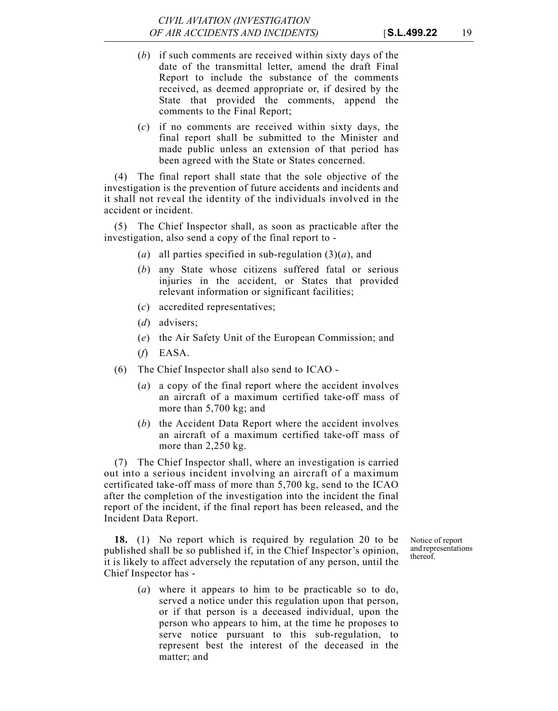- (*b*) if such comments are received within sixty days of the date of the transmittal letter, amend the draft Final Report to include the substance of the comments received, as deemed appropriate or, if desired by the State that provided the comments, append the comments to the Final Report;
- (*c*) if no comments are received within sixty days, the final report shall be submitted to the Minister and made public unless an extension of that period has been agreed with the State or States concerned.

(4) The final report shall state that the sole objective of the investigation is the prevention of future accidents and incidents and it shall not reveal the identity of the individuals involved in the accident or incident.

(5) The Chief Inspector shall, as soon as practicable after the investigation, also send a copy of the final report to -

- (*a*) all parties specified in sub-regulation  $(3)(a)$ , and
- (*b*) any State whose citizens suffered fatal or serious injuries in the accident, or States that provided relevant information or significant facilities;
- (*c*) accredited representatives;
- (*d*) advisers;
- (*e*) the Air Safety Unit of the European Commission; and
- (*f*) EASA.
- (6) The Chief Inspector shall also send to ICAO
	- (*a*) a copy of the final report where the accident involves an aircraft of a maximum certified take-off mass of more than 5,700 kg; and
	- (*b*) the Accident Data Report where the accident involves an aircraft of a maximum certified take-off mass of more than 2,250 kg.

(7) The Chief Inspector shall, where an investigation is carried out into a serious incident involving an aircraft of a maximum certificated take-off mass of more than 5,700 kg, send to the ICAO after the completion of the investigation into the incident the final report of the incident, if the final report has been released, and the Incident Data Report.

**18.** (1) No report which is required by regulation 20 to be published shall be so published if, in the Chief Inspector's opinion, it is likely to affect adversely the reputation of any person, until the Chief Inspector has -

Notice of report and representations thereof.

(*a*) where it appears to him to be practicable so to do, served a notice under this regulation upon that person, or if that person is a deceased individual, upon the person who appears to him, at the time he proposes to serve notice pursuant to this sub-regulation, to represent best the interest of the deceased in the matter; and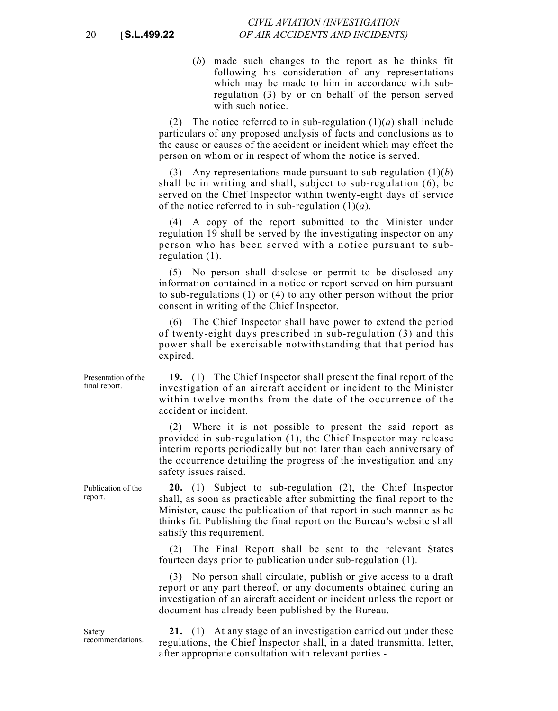(*b*) made such changes to the report as he thinks fit following his consideration of any representations which may be made to him in accordance with subregulation (3) by or on behalf of the person served with such notice.

(2) The notice referred to in sub-regulation  $(1)(a)$  shall include particulars of any proposed analysis of facts and conclusions as to the cause or causes of the accident or incident which may effect the person on whom or in respect of whom the notice is served.

(3) Any representations made pursuant to sub-regulation (1)(*b*) shall be in writing and shall, subject to sub-regulation (6), be served on the Chief Inspector within twenty-eight days of service of the notice referred to in sub-regulation (1)(*a*).

(4) A copy of the report submitted to the Minister under regulation 19 shall be served by the investigating inspector on any person who has been served with a notice pursuant to subregulation (1).

(5) No person shall disclose or permit to be disclosed any information contained in a notice or report served on him pursuant to sub-regulations (1) or (4) to any other person without the prior consent in writing of the Chief Inspector.

(6) The Chief Inspector shall have power to extend the period of twenty-eight days prescribed in sub-regulation (3) and this power shall be exercisable notwithstanding that that period has expired.

**19.** (1) The Chief Inspector shall present the final report of the investigation of an aircraft accident or incident to the Minister within twelve months from the date of the occurrence of the accident or incident.

(2) Where it is not possible to present the said report as provided in sub-regulation (1), the Chief Inspector may release interim reports periodically but not later than each anniversary of the occurrence detailing the progress of the investigation and any safety issues raised.

**20.** (1) Subject to sub-regulation (2), the Chief Inspector shall, as soon as practicable after submitting the final report to the Minister, cause the publication of that report in such manner as he thinks fit. Publishing the final report on the Bureau's website shall satisfy this requirement.

(2) The Final Report shall be sent to the relevant States fourteen days prior to publication under sub-regulation (1).

(3) No person shall circulate, publish or give access to a draft report or any part thereof, or any documents obtained during an investigation of an aircraft accident or incident unless the report or document has already been published by the Bureau.

**21.** (1) At any stage of an investigation carried out under these regulations, the Chief Inspector shall, in a dated transmittal letter, after appropriate consultation with relevant parties -

Presentation of the final report.

Publication of the

report.

Safety recommendations.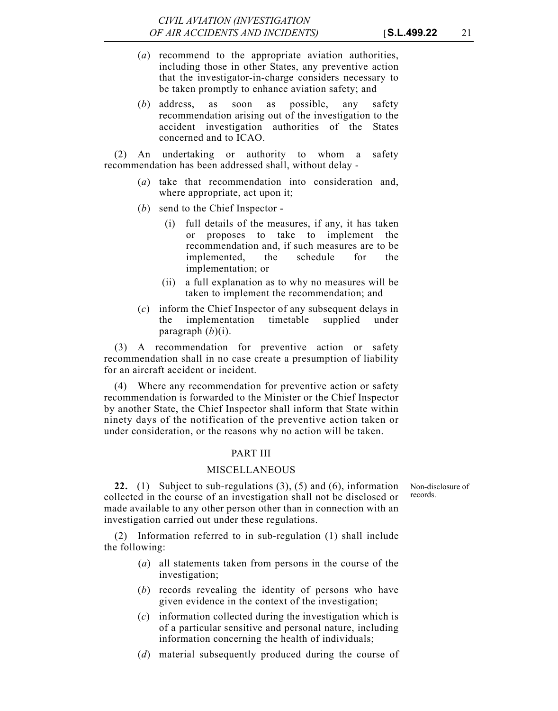- (*a*) recommend to the appropriate aviation authorities, including those in other States, any preventive action that the investigator-in-charge considers necessary to be taken promptly to enhance aviation safety; and
- (*b*) address, as soon as possible, any safety recommendation arising out of the investigation to the accident investigation authorities of the States concerned and to ICAO.

(2) An undertaking or authority to whom a safety recommendation has been addressed shall, without delay -

- (*a*) take that recommendation into consideration and, where appropriate, act upon it;
- (*b*) send to the Chief Inspector
	- (i) full details of the measures, if any, it has taken or proposes to take to implement the recommendation and, if such measures are to be implemented, the schedule for the implementation; or
	- (ii) a full explanation as to why no measures will be taken to implement the recommendation; and
- (*c*) inform the Chief Inspector of any subsequent delays in the implementation timetable supplied under paragraph (*b*)(i).

(3) A recommendation for preventive action or safety recommendation shall in no case create a presumption of liability for an aircraft accident or incident.

(4) Where any recommendation for preventive action or safety recommendation is forwarded to the Minister or the Chief Inspector by another State, the Chief Inspector shall inform that State within ninety days of the notification of the preventive action taken or under consideration, or the reasons why no action will be taken.

#### PART III

#### MISCELLANEOUS

Non-disclosure of records.

**22.** (1) Subject to sub-regulations (3), (5) and (6), information collected in the course of an investigation shall not be disclosed or made available to any other person other than in connection with an investigation carried out under these regulations.

(2) Information referred to in sub-regulation (1) shall include the following:

- (*a*) all statements taken from persons in the course of the investigation;
- (*b*) records revealing the identity of persons who have given evidence in the context of the investigation;
- (*c*) information collected during the investigation which is of a particular sensitive and personal nature, including information concerning the health of individuals;
- (*d*) material subsequently produced during the course of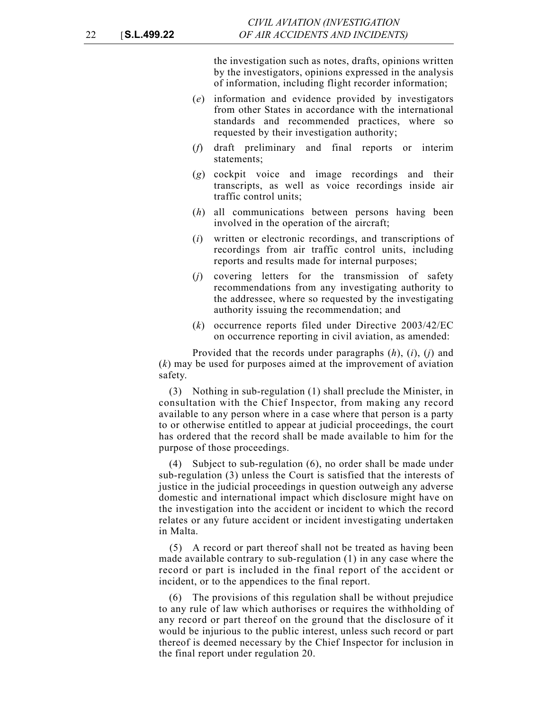the investigation such as notes, drafts, opinions written by the investigators, opinions expressed in the analysis of information, including flight recorder information;

- (*e*) information and evidence provided by investigators from other States in accordance with the international standards and recommended practices, where so requested by their investigation authority;
- (*f*) draft preliminary and final reports or interim statements;
- (*g*) cockpit voice and image recordings and their transcripts, as well as voice recordings inside air traffic control units;
- (*h*) all communications between persons having been involved in the operation of the aircraft;
- (*i*) written or electronic recordings, and transcriptions of recordings from air traffic control units, including reports and results made for internal purposes;
- (*j*) covering letters for the transmission of safety recommendations from any investigating authority to the addressee, where so requested by the investigating authority issuing the recommendation; and
- (*k*) occurrence reports filed under Directive 2003/42/EC on occurrence reporting in civil aviation, as amended:

Provided that the records under paragraphs (*h*), (*i*), (*j*) and (*k*) may be used for purposes aimed at the improvement of aviation safety.

(3) Nothing in sub-regulation (1) shall preclude the Minister, in consultation with the Chief Inspector, from making any record available to any person where in a case where that person is a party to or otherwise entitled to appear at judicial proceedings, the court has ordered that the record shall be made available to him for the purpose of those proceedings.

(4) Subject to sub-regulation (6), no order shall be made under sub-regulation (3) unless the Court is satisfied that the interests of justice in the judicial proceedings in question outweigh any adverse domestic and international impact which disclosure might have on the investigation into the accident or incident to which the record relates or any future accident or incident investigating undertaken in Malta.

(5) A record or part thereof shall not be treated as having been made available contrary to sub-regulation (1) in any case where the record or part is included in the final report of the accident or incident, or to the appendices to the final report.

(6) The provisions of this regulation shall be without prejudice to any rule of law which authorises or requires the withholding of any record or part thereof on the ground that the disclosure of it would be injurious to the public interest, unless such record or part thereof is deemed necessary by the Chief Inspector for inclusion in the final report under regulation 20.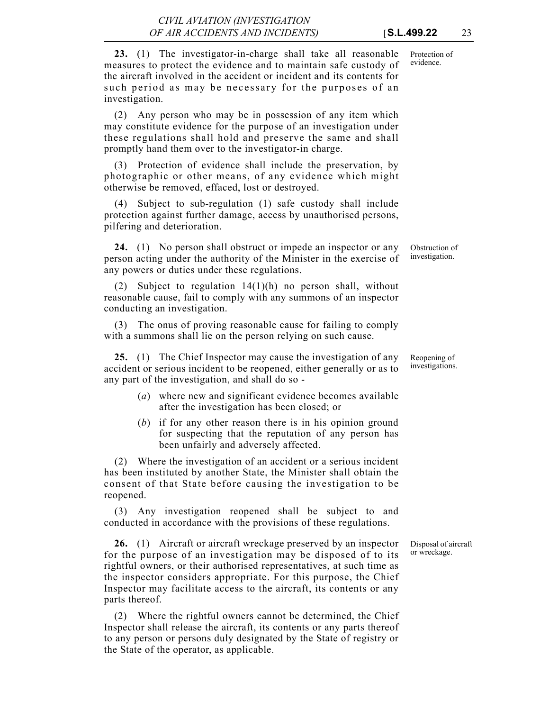evidence.

**23.** (1) The investigator-in-charge shall take all reasonable measures to protect the evidence and to maintain safe custody of the aircraft involved in the accident or incident and its contents for such period as may be necessary for the purposes of an investigation.

(2) Any person who may be in possession of any item which may constitute evidence for the purpose of an investigation under these regulations shall hold and preserve the same and shall promptly hand them over to the investigator-in charge.

(3) Protection of evidence shall include the preservation, by photographic or other means, of any evidence which might otherwise be removed, effaced, lost or destroyed.

(4) Subject to sub-regulation (1) safe custody shall include protection against further damage, access by unauthorised persons, pilfering and deterioration.

**24.** (1) No person shall obstruct or impede an inspector or any person acting under the authority of the Minister in the exercise of any powers or duties under these regulations.

(2) Subject to regulation 14(1)(h) no person shall, without reasonable cause, fail to comply with any summons of an inspector conducting an investigation.

(3) The onus of proving reasonable cause for failing to comply with a summons shall lie on the person relying on such cause.

**25.** (1) The Chief Inspector may cause the investigation of any accident or serious incident to be reopened, either generally or as to any part of the investigation, and shall do so -

- (*a*) where new and significant evidence becomes available after the investigation has been closed; or
- (*b*) if for any other reason there is in his opinion ground for suspecting that the reputation of any person has been unfairly and adversely affected.

(2) Where the investigation of an accident or a serious incident has been instituted by another State, the Minister shall obtain the consent of that State before causing the investigation to be reopened.

(3) Any investigation reopened shall be subject to and conducted in accordance with the provisions of these regulations.

> Disposal of aircraft or wreckage.

**26.** (1) Aircraft or aircraft wreckage preserved by an inspector for the purpose of an investigation may be disposed of to its rightful owners, or their authorised representatives, at such time as the inspector considers appropriate. For this purpose, the Chief Inspector may facilitate access to the aircraft, its contents or any parts thereof.

(2) Where the rightful owners cannot be determined, the Chief Inspector shall release the aircraft, its contents or any parts thereof to any person or persons duly designated by the State of registry or the State of the operator, as applicable.

Obstruction of investigation.

Reopening of investigations.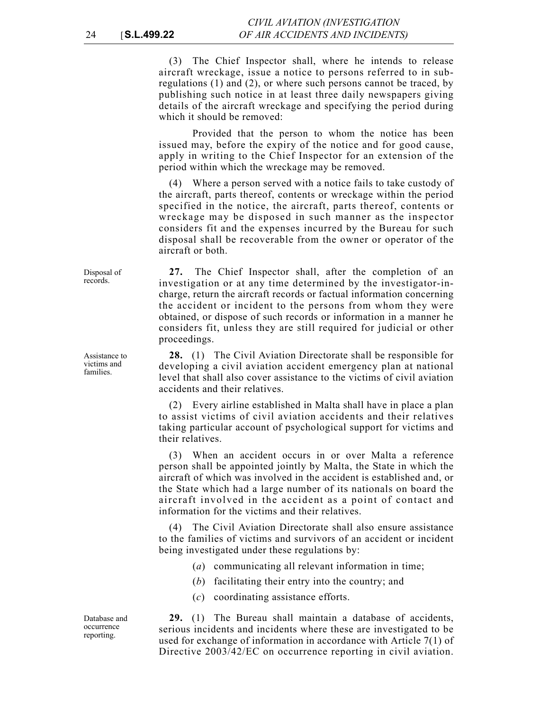(3) The Chief Inspector shall, where he intends to release aircraft wreckage, issue a notice to persons referred to in subregulations (1) and (2), or where such persons cannot be traced, by publishing such notice in at least three daily newspapers giving details of the aircraft wreckage and specifying the period during which it should be removed:

Provided that the person to whom the notice has been issued may, before the expiry of the notice and for good cause, apply in writing to the Chief Inspector for an extension of the period within which the wreckage may be removed.

(4) Where a person served with a notice fails to take custody of the aircraft, parts thereof, contents or wreckage within the period specified in the notice, the aircraft, parts thereof, contents or wreckage may be disposed in such manner as the inspector considers fit and the expenses incurred by the Bureau for such disposal shall be recoverable from the owner or operator of the aircraft or both.

**27.** The Chief Inspector shall, after the completion of an investigation or at any time determined by the investigator-incharge, return the aircraft records or factual information concerning the accident or incident to the persons from whom they were obtained, or dispose of such records or information in a manner he considers fit, unless they are still required for judicial or other proceedings.

**28.** (1) The Civil Aviation Directorate shall be responsible for developing a civil aviation accident emergency plan at national level that shall also cover assistance to the victims of civil aviation accidents and their relatives.

(2) Every airline established in Malta shall have in place a plan to assist victims of civil aviation accidents and their relatives taking particular account of psychological support for victims and their relatives.

(3) When an accident occurs in or over Malta a reference person shall be appointed jointly by Malta, the State in which the aircraft of which was involved in the accident is established and, or the State which had a large number of its nationals on board the aircraft involved in the accident as a point of contact and information for the victims and their relatives.

(4) The Civil Aviation Directorate shall also ensure assistance to the families of victims and survivors of an accident or incident being investigated under these regulations by:

- (*a*) communicating all relevant information in time;
- (*b*) facilitating their entry into the country; and
- (*c*) coordinating assistance efforts.

**29.** (1) The Bureau shall maintain a database of accidents, serious incidents and incidents where these are investigated to be used for exchange of information in accordance with Article 7(1) of Directive 2003/42/EC on occurrence reporting in civil aviation.

Disposal of records.

Assistance to victims and families.

Database and occurrence reporting.